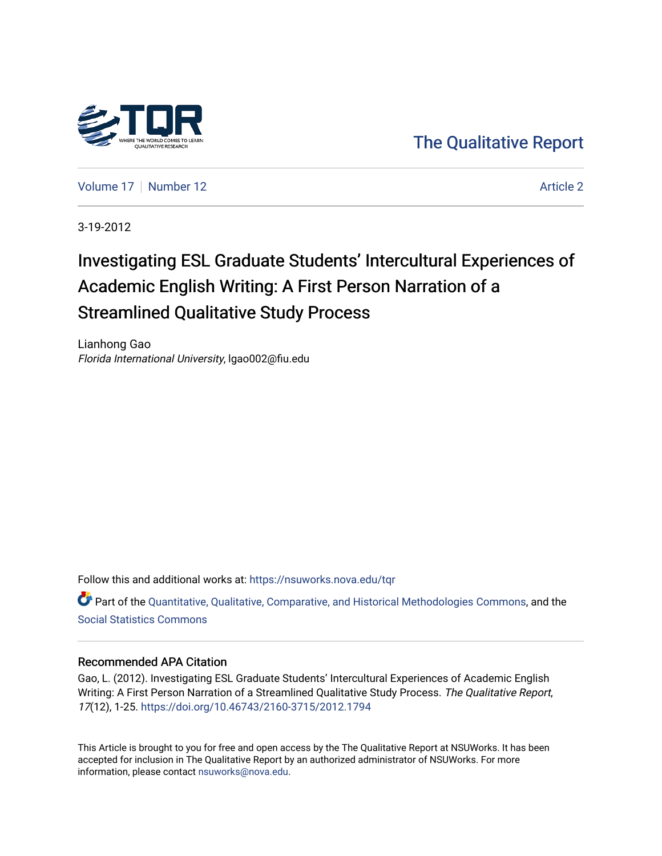

[The Qualitative Report](https://nsuworks.nova.edu/tqr) 

[Volume 17](https://nsuworks.nova.edu/tqr/vol17) [Number 12](https://nsuworks.nova.edu/tqr/vol17/iss12) Article 2

3-19-2012

# Investigating ESL Graduate Students' Intercultural Experiences of Academic English Writing: A First Person Narration of a Streamlined Qualitative Study Process

Lianhong Gao Florida International University, lgao002@fiu.edu

Follow this and additional works at: [https://nsuworks.nova.edu/tqr](https://nsuworks.nova.edu/tqr?utm_source=nsuworks.nova.edu%2Ftqr%2Fvol17%2Fiss12%2F2&utm_medium=PDF&utm_campaign=PDFCoverPages) 

Part of the [Quantitative, Qualitative, Comparative, and Historical Methodologies Commons,](http://network.bepress.com/hgg/discipline/423?utm_source=nsuworks.nova.edu%2Ftqr%2Fvol17%2Fiss12%2F2&utm_medium=PDF&utm_campaign=PDFCoverPages) and the [Social Statistics Commons](http://network.bepress.com/hgg/discipline/1275?utm_source=nsuworks.nova.edu%2Ftqr%2Fvol17%2Fiss12%2F2&utm_medium=PDF&utm_campaign=PDFCoverPages) 

# Recommended APA Citation

Gao, L. (2012). Investigating ESL Graduate Students' Intercultural Experiences of Academic English Writing: A First Person Narration of a Streamlined Qualitative Study Process. The Qualitative Report, 17(12), 1-25. <https://doi.org/10.46743/2160-3715/2012.1794>

This Article is brought to you for free and open access by the The Qualitative Report at NSUWorks. It has been accepted for inclusion in The Qualitative Report by an authorized administrator of NSUWorks. For more information, please contact [nsuworks@nova.edu.](mailto:nsuworks@nova.edu)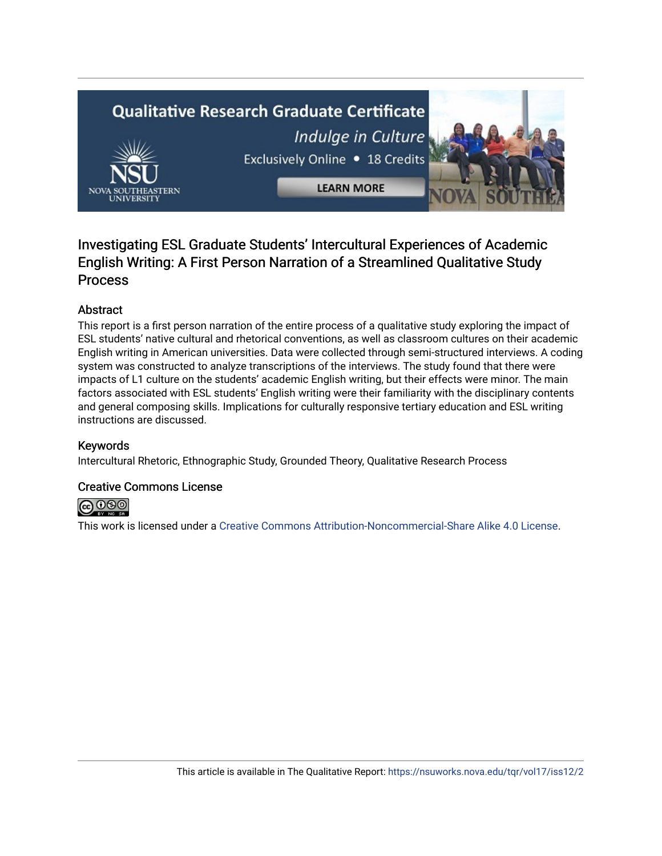# **Qualitative Research Graduate Certificate** Indulge in Culture Exclusively Online . 18 Credits **LEARN MORE**

# Investigating ESL Graduate Students' Intercultural Experiences of Academic English Writing: A First Person Narration of a Streamlined Qualitative Study Process

# Abstract

This report is a first person narration of the entire process of a qualitative study exploring the impact of ESL students' native cultural and rhetorical conventions, as well as classroom cultures on their academic English writing in American universities. Data were collected through semi-structured interviews. A coding system was constructed to analyze transcriptions of the interviews. The study found that there were impacts of L1 culture on the students' academic English writing, but their effects were minor. The main factors associated with ESL students' English writing were their familiarity with the disciplinary contents and general composing skills. Implications for culturally responsive tertiary education and ESL writing instructions are discussed.

# Keywords

Intercultural Rhetoric, Ethnographic Study, Grounded Theory, Qualitative Research Process

# Creative Commons License



This work is licensed under a [Creative Commons Attribution-Noncommercial-Share Alike 4.0 License](https://creativecommons.org/licenses/by-nc-sa/4.0/).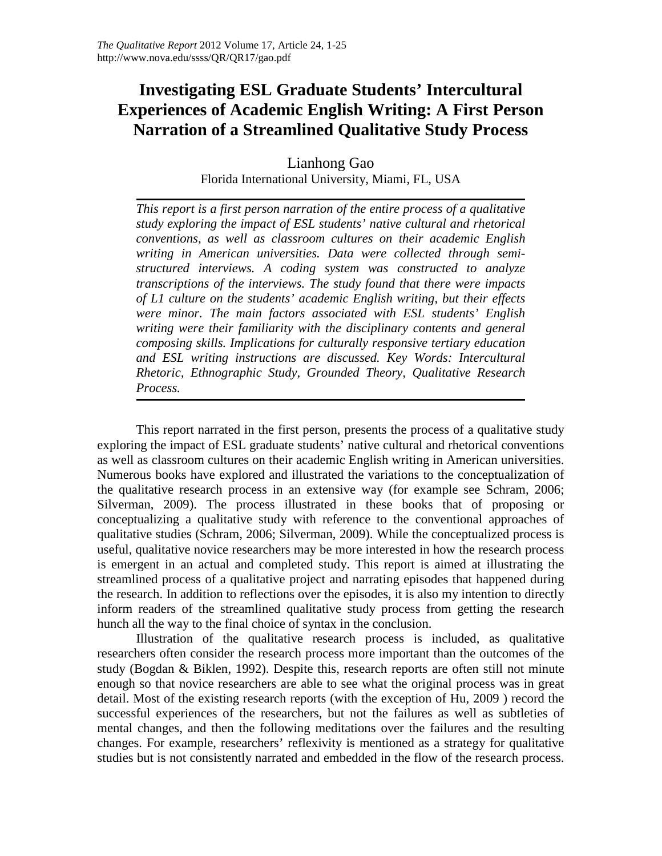# **Investigating ESL Graduate Students' Intercultural Experiences of Academic English Writing: A First Person Narration of a Streamlined Qualitative Study Process**

Lianhong Gao Florida International University, Miami, FL, USA

*This report is a first person narration of the entire process of a qualitative study exploring the impact of ESL students' native cultural and rhetorical conventions, as well as classroom cultures on their academic English writing in American universities. Data were collected through semistructured interviews. A coding system was constructed to analyze transcriptions of the interviews. The study found that there were impacts of L1 culture on the students' academic English writing, but their effects were minor. The main factors associated with ESL students' English writing were their familiarity with the disciplinary contents and general composing skills. Implications for culturally responsive tertiary education and ESL writing instructions are discussed. Key Words: Intercultural Rhetoric, Ethnographic Study, Grounded Theory, Qualitative Research Process.*

This report narrated in the first person, presents the process of a qualitative study exploring the impact of ESL graduate students' native cultural and rhetorical conventions as well as classroom cultures on their academic English writing in American universities. Numerous books have explored and illustrated the variations to the conceptualization of the qualitative research process in an extensive way (for example see Schram, 2006; Silverman, 2009). The process illustrated in these books that of proposing or conceptualizing a qualitative study with reference to the conventional approaches of qualitative studies (Schram, 2006; Silverman, 2009). While the conceptualized process is useful, qualitative novice researchers may be more interested in how the research process is emergent in an actual and completed study. This report is aimed at illustrating the streamlined process of a qualitative project and narrating episodes that happened during the research. In addition to reflections over the episodes, it is also my intention to directly inform readers of the streamlined qualitative study process from getting the research hunch all the way to the final choice of syntax in the conclusion.

Illustration of the qualitative research process is included, as qualitative researchers often consider the research process more important than the outcomes of the study (Bogdan & Biklen, 1992). Despite this, research reports are often still not minute enough so that novice researchers are able to see what the original process was in great detail. Most of the existing research reports (with the exception of Hu, 2009 ) record the successful experiences of the researchers, but not the failures as well as subtleties of mental changes, and then the following meditations over the failures and the resulting changes. For example, researchers' reflexivity is mentioned as a strategy for qualitative studies but is not consistently narrated and embedded in the flow of the research process.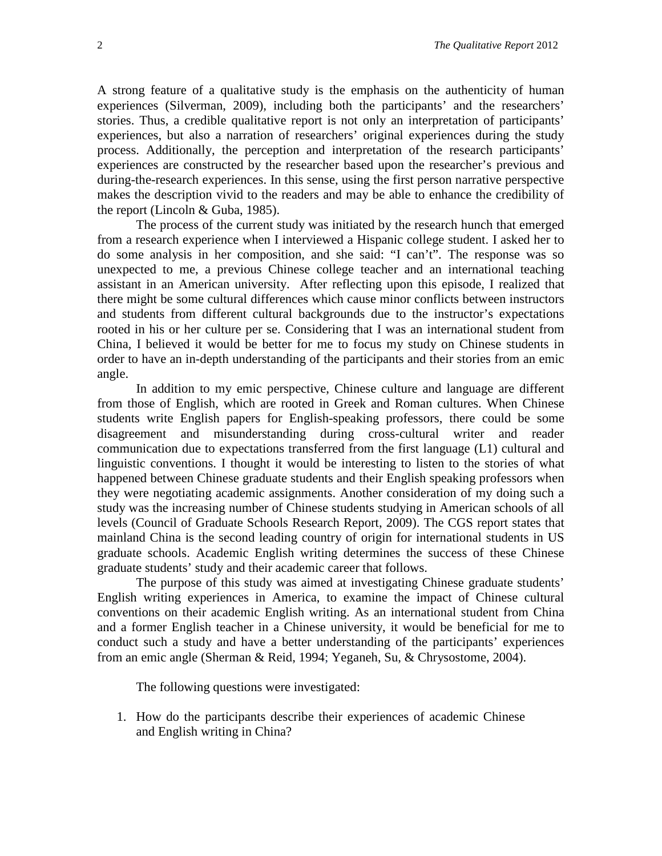A strong feature of a qualitative study is the emphasis on the authenticity of human experiences (Silverman, 2009), including both the participants' and the researchers' stories. Thus, a credible qualitative report is not only an interpretation of participants' experiences, but also a narration of researchers' original experiences during the study process. Additionally, the perception and interpretation of the research participants' experiences are constructed by the researcher based upon the researcher's previous and during-the-research experiences. In this sense, using the first person narrative perspective makes the description vivid to the readers and may be able to enhance the credibility of the report (Lincoln & Guba, 1985).

The process of the current study was initiated by the research hunch that emerged from a research experience when I interviewed a Hispanic college student. I asked her to do some analysis in her composition, and she said: "I can't". The response was so unexpected to me, a previous Chinese college teacher and an international teaching assistant in an American university. After reflecting upon this episode, I realized that there might be some cultural differences which cause minor conflicts between instructors and students from different cultural backgrounds due to the instructor's expectations rooted in his or her culture per se. Considering that I was an international student from China, I believed it would be better for me to focus my study on Chinese students in order to have an in-depth understanding of the participants and their stories from an emic angle.

In addition to my emic perspective, Chinese culture and language are different from those of English, which are rooted in Greek and Roman cultures. When Chinese students write English papers for English-speaking professors, there could be some disagreement and misunderstanding during cross-cultural writer and reader communication due to expectations transferred from the first language (L1) cultural and linguistic conventions. I thought it would be interesting to listen to the stories of what happened between Chinese graduate students and their English speaking professors when they were negotiating academic assignments. Another consideration of my doing such a study was the increasing number of Chinese students studying in American schools of all levels (Council of Graduate Schools Research Report, 2009). The CGS report states that mainland China is the second leading country of origin for international students in US graduate schools. Academic English writing determines the success of these Chinese graduate students' study and their academic career that follows.

The purpose of this study was aimed at investigating Chinese graduate students' English writing experiences in America, to examine the impact of Chinese cultural conventions on their academic English writing. As an international student from China and a former English teacher in a Chinese university, it would be beneficial for me to conduct such a study and have a better understanding of the participants' experiences from an emic angle (Sherman & Reid, 1994; Yeganeh, Su, & Chrysostome, 2004).

The following questions were investigated:

1. How do the participants describe their experiences of academic Chinese and English writing in China?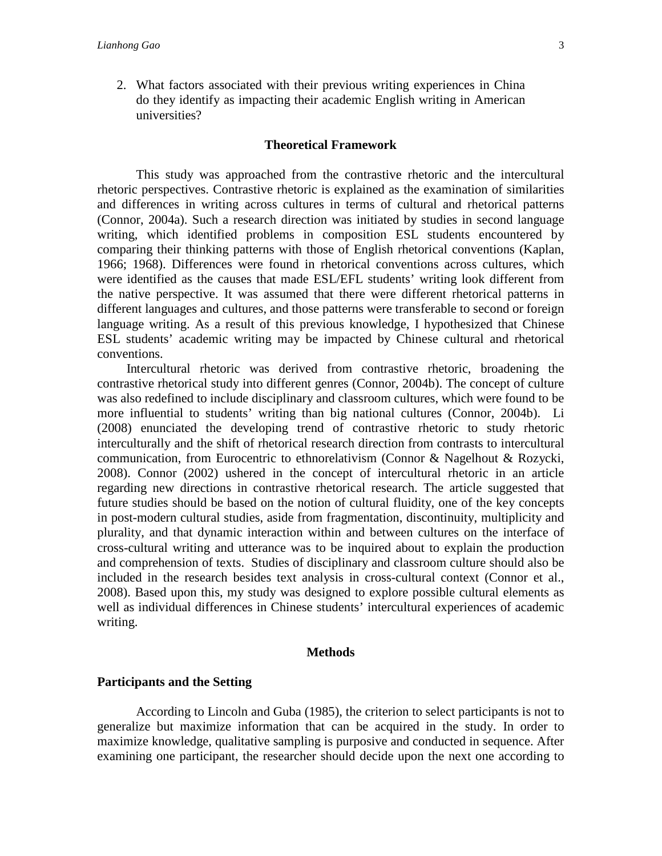2. What factors associated with their previous writing experiences in China do they identify as impacting their academic English writing in American universities?

#### **Theoretical Framework**

This study was approached from the contrastive rhetoric and the intercultural rhetoric perspectives. Contrastive rhetoric is explained as the examination of similarities and differences in writing across cultures in terms of cultural and rhetorical patterns (Connor, 2004a). Such a research direction was initiated by studies in second language writing, which identified problems in composition ESL students encountered by comparing their thinking patterns with those of English rhetorical conventions (Kaplan, 1966; 1968). Differences were found in rhetorical conventions across cultures, which were identified as the causes that made ESL/EFL students' writing look different from the native perspective. It was assumed that there were different rhetorical patterns in different languages and cultures, and those patterns were transferable to second or foreign language writing. As a result of this previous knowledge, I hypothesized that Chinese ESL students' academic writing may be impacted by Chinese cultural and rhetorical conventions.

 Intercultural rhetoric was derived from contrastive rhetoric, broadening the contrastive rhetorical study into different genres (Connor, 2004b). The concept of culture was also redefined to include disciplinary and classroom cultures, which were found to be more influential to students' writing than big national cultures (Connor, 2004b). Li (2008) enunciated the developing trend of contrastive rhetoric to study rhetoric interculturally and the shift of rhetorical research direction from contrasts to intercultural communication, from Eurocentric to ethnorelativism (Connor & Nagelhout & Rozycki, 2008). Connor (2002) ushered in the concept of intercultural rhetoric in an article regarding new directions in contrastive rhetorical research. The article suggested that future studies should be based on the notion of cultural fluidity, one of the key concepts in post-modern cultural studies, aside from fragmentation, discontinuity, multiplicity and plurality, and that dynamic interaction within and between cultures on the interface of cross-cultural writing and utterance was to be inquired about to explain the production and comprehension of texts. Studies of disciplinary and classroom culture should also be included in the research besides text analysis in cross-cultural context (Connor et al., 2008). Based upon this, my study was designed to explore possible cultural elements as well as individual differences in Chinese students' intercultural experiences of academic writing.

#### **Methods**

#### **Participants and the Setting**

According to Lincoln and Guba (1985), the criterion to select participants is not to generalize but maximize information that can be acquired in the study. In order to maximize knowledge, qualitative sampling is purposive and conducted in sequence. After examining one participant, the researcher should decide upon the next one according to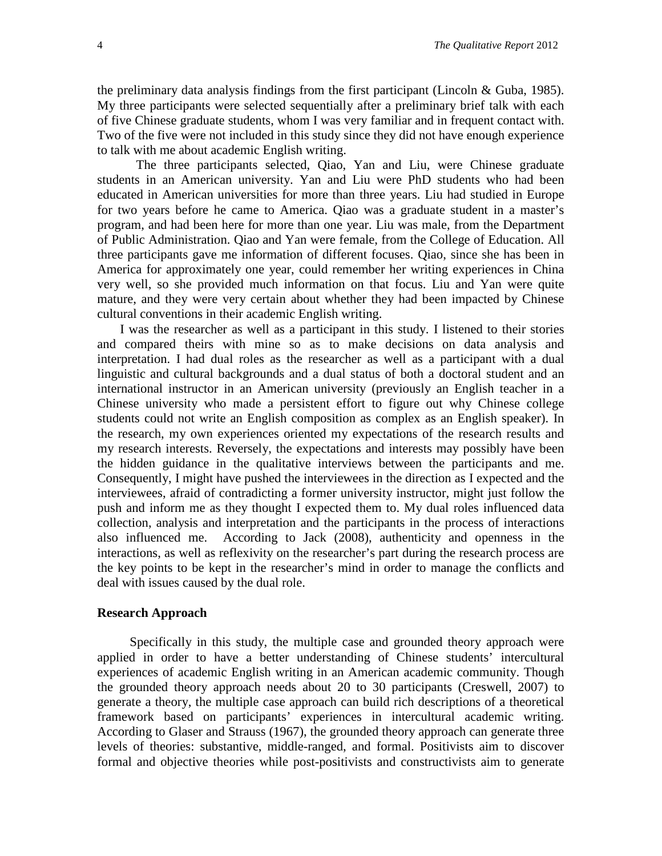the preliminary data analysis findings from the first participant (Lincoln  $\&$  Guba, 1985). My three participants were selected sequentially after a preliminary brief talk with each of five Chinese graduate students, whom I was very familiar and in frequent contact with. Two of the five were not included in this study since they did not have enough experience to talk with me about academic English writing.

The three participants selected, Qiao, Yan and Liu, were Chinese graduate students in an American university. Yan and Liu were PhD students who had been educated in American universities for more than three years. Liu had studied in Europe for two years before he came to America. Qiao was a graduate student in a master's program, and had been here for more than one year. Liu was male, from the Department of Public Administration. Qiao and Yan were female, from the College of Education. All three participants gave me information of different focuses. Qiao, since she has been in America for approximately one year, could remember her writing experiences in China very well, so she provided much information on that focus. Liu and Yan were quite mature, and they were very certain about whether they had been impacted by Chinese cultural conventions in their academic English writing.

 I was the researcher as well as a participant in this study. I listened to their stories and compared theirs with mine so as to make decisions on data analysis and interpretation. I had dual roles as the researcher as well as a participant with a dual linguistic and cultural backgrounds and a dual status of both a doctoral student and an international instructor in an American university (previously an English teacher in a Chinese university who made a persistent effort to figure out why Chinese college students could not write an English composition as complex as an English speaker). In the research, my own experiences oriented my expectations of the research results and my research interests. Reversely, the expectations and interests may possibly have been the hidden guidance in the qualitative interviews between the participants and me. Consequently, I might have pushed the interviewees in the direction as I expected and the interviewees, afraid of contradicting a former university instructor, might just follow the push and inform me as they thought I expected them to. My dual roles influenced data collection, analysis and interpretation and the participants in the process of interactions also influenced me. According to Jack (2008), authenticity and openness in the interactions, as well as reflexivity on the researcher's part during the research process are the key points to be kept in the researcher's mind in order to manage the conflicts and deal with issues caused by the dual role.

#### **Research Approach**

 Specifically in this study, the multiple case and grounded theory approach were applied in order to have a better understanding of Chinese students' intercultural experiences of academic English writing in an American academic community. Though the grounded theory approach needs about 20 to 30 participants (Creswell, 2007) to generate a theory, the multiple case approach can build rich descriptions of a theoretical framework based on participants' experiences in intercultural academic writing. According to Glaser and Strauss (1967), the grounded theory approach can generate three levels of theories: substantive, middle-ranged, and formal. Positivists aim to discover formal and objective theories while post-positivists and constructivists aim to generate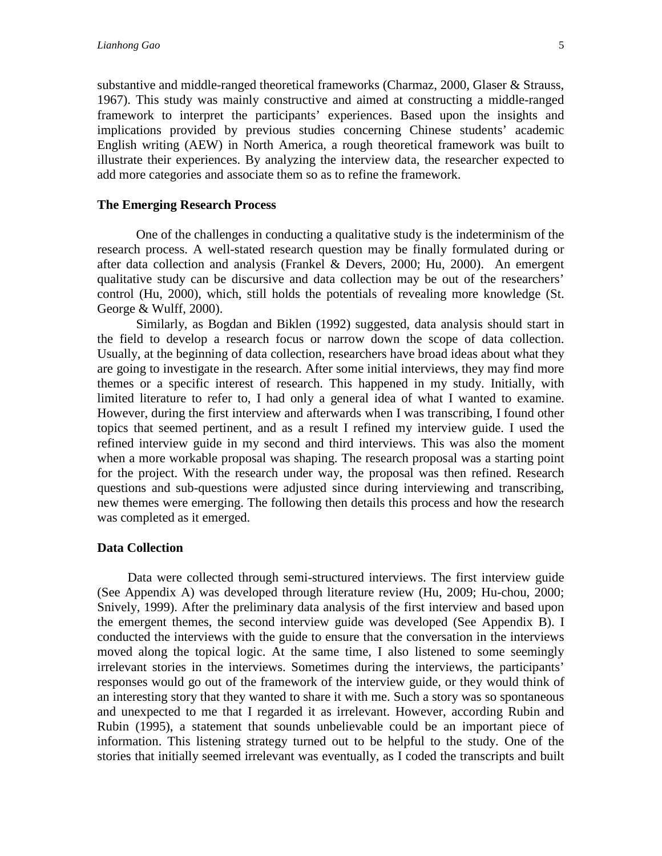substantive and middle-ranged theoretical frameworks (Charmaz, 2000, Glaser & Strauss, 1967). This study was mainly constructive and aimed at constructing a middle-ranged framework to interpret the participants' experiences. Based upon the insights and implications provided by previous studies concerning Chinese students' academic English writing (AEW) in North America, a rough theoretical framework was built to illustrate their experiences. By analyzing the interview data, the researcher expected to add more categories and associate them so as to refine the framework.

#### **The Emerging Research Process**

One of the challenges in conducting a qualitative study is the indeterminism of the research process. A well-stated research question may be finally formulated during or after data collection and analysis (Frankel & Devers, 2000; Hu, 2000). An emergent qualitative study can be discursive and data collection may be out of the researchers' control (Hu, 2000), which, still holds the potentials of revealing more knowledge (St. George & Wulff, 2000).

Similarly, as Bogdan and Biklen (1992) suggested, data analysis should start in the field to develop a research focus or narrow down the scope of data collection. Usually, at the beginning of data collection, researchers have broad ideas about what they are going to investigate in the research. After some initial interviews, they may find more themes or a specific interest of research. This happened in my study. Initially, with limited literature to refer to, I had only a general idea of what I wanted to examine. However, during the first interview and afterwards when I was transcribing, I found other topics that seemed pertinent, and as a result I refined my interview guide. I used the refined interview guide in my second and third interviews. This was also the moment when a more workable proposal was shaping. The research proposal was a starting point for the project. With the research under way, the proposal was then refined. Research questions and sub-questions were adjusted since during interviewing and transcribing, new themes were emerging. The following then details this process and how the research was completed as it emerged.

#### **Data Collection**

Data were collected through semi-structured interviews. The first interview guide (See Appendix A) was developed through literature review (Hu, 2009; Hu-chou, 2000; Snively, 1999). After the preliminary data analysis of the first interview and based upon the emergent themes, the second interview guide was developed (See Appendix B). I conducted the interviews with the guide to ensure that the conversation in the interviews moved along the topical logic. At the same time, I also listened to some seemingly irrelevant stories in the interviews. Sometimes during the interviews, the participants' responses would go out of the framework of the interview guide, or they would think of an interesting story that they wanted to share it with me. Such a story was so spontaneous and unexpected to me that I regarded it as irrelevant. However, according Rubin and Rubin (1995), a statement that sounds unbelievable could be an important piece of information. This listening strategy turned out to be helpful to the study. One of the stories that initially seemed irrelevant was eventually, as I coded the transcripts and built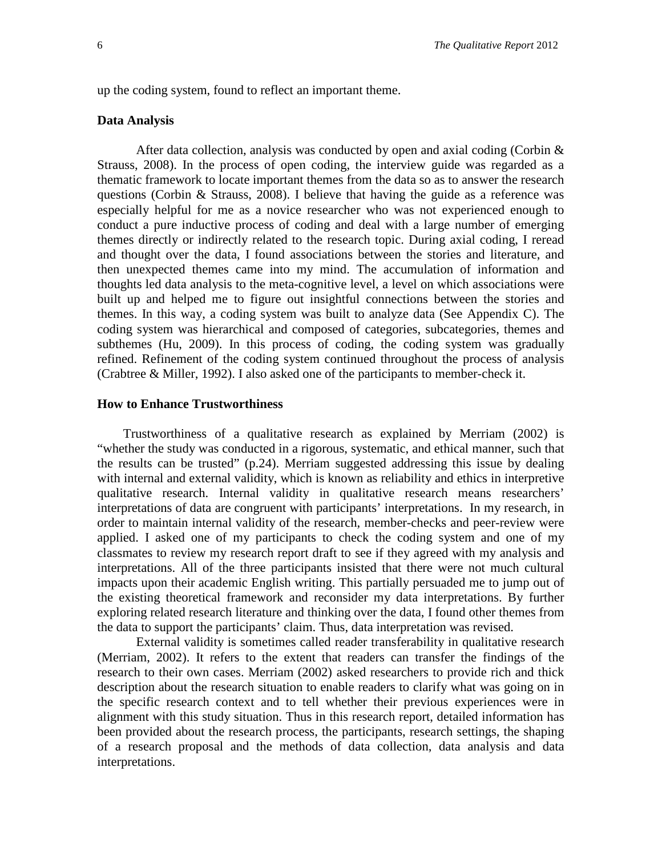up the coding system, found to reflect an important theme.

#### **Data Analysis**

After data collection, analysis was conducted by open and axial coding (Corbin  $\&$ Strauss, 2008). In the process of open coding, the interview guide was regarded as a thematic framework to locate important themes from the data so as to answer the research questions (Corbin & Strauss, 2008). I believe that having the guide as a reference was especially helpful for me as a novice researcher who was not experienced enough to conduct a pure inductive process of coding and deal with a large number of emerging themes directly or indirectly related to the research topic. During axial coding, I reread and thought over the data, I found associations between the stories and literature, and then unexpected themes came into my mind. The accumulation of information and thoughts led data analysis to the meta-cognitive level, a level on which associations were built up and helped me to figure out insightful connections between the stories and themes. In this way, a coding system was built to analyze data (See Appendix C). The coding system was hierarchical and composed of categories, subcategories, themes and subthemes (Hu, 2009). In this process of coding, the coding system was gradually refined. Refinement of the coding system continued throughout the process of analysis (Crabtree & Miller, 1992). I also asked one of the participants to member-check it.

#### **How to Enhance Trustworthiness**

 Trustworthiness of a qualitative research as explained by Merriam (2002) is "whether the study was conducted in a rigorous, systematic, and ethical manner, such that the results can be trusted" (p.24). Merriam suggested addressing this issue by dealing with internal and external validity, which is known as reliability and ethics in interpretive qualitative research. Internal validity in qualitative research means researchers' interpretations of data are congruent with participants' interpretations. In my research, in order to maintain internal validity of the research, member-checks and peer-review were applied. I asked one of my participants to check the coding system and one of my classmates to review my research report draft to see if they agreed with my analysis and interpretations. All of the three participants insisted that there were not much cultural impacts upon their academic English writing. This partially persuaded me to jump out of the existing theoretical framework and reconsider my data interpretations. By further exploring related research literature and thinking over the data, I found other themes from the data to support the participants' claim. Thus, data interpretation was revised.

External validity is sometimes called reader transferability in qualitative research (Merriam, 2002). It refers to the extent that readers can transfer the findings of the research to their own cases. Merriam (2002) asked researchers to provide rich and thick description about the research situation to enable readers to clarify what was going on in the specific research context and to tell whether their previous experiences were in alignment with this study situation. Thus in this research report, detailed information has been provided about the research process, the participants, research settings, the shaping of a research proposal and the methods of data collection, data analysis and data interpretations.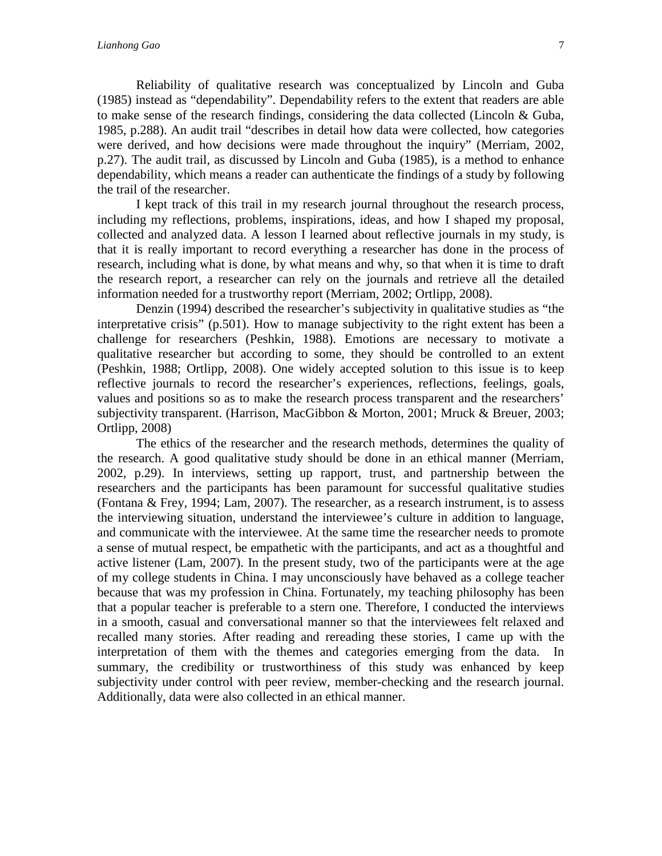Reliability of qualitative research was conceptualized by Lincoln and Guba (1985) instead as "dependability". Dependability refers to the extent that readers are able to make sense of the research findings, considering the data collected (Lincoln & Guba, 1985, p.288). An audit trail "describes in detail how data were collected, how categories were derived, and how decisions were made throughout the inquiry" (Merriam, 2002, p.27). The audit trail, as discussed by Lincoln and Guba (1985), is a method to enhance dependability, which means a reader can authenticate the findings of a study by following the trail of the researcher.

I kept track of this trail in my research journal throughout the research process, including my reflections, problems, inspirations, ideas, and how I shaped my proposal, collected and analyzed data. A lesson I learned about reflective journals in my study, is that it is really important to record everything a researcher has done in the process of research, including what is done, by what means and why, so that when it is time to draft the research report, a researcher can rely on the journals and retrieve all the detailed information needed for a trustworthy report (Merriam, 2002; Ortlipp, 2008).

Denzin (1994) described the researcher's subjectivity in qualitative studies as "the interpretative crisis" (p.501). How to manage subjectivity to the right extent has been a challenge for researchers (Peshkin, 1988). Emotions are necessary to motivate a qualitative researcher but according to some, they should be controlled to an extent (Peshkin, 1988; Ortlipp, 2008). One widely accepted solution to this issue is to keep reflective journals to record the researcher's experiences, reflections, feelings, goals, values and positions so as to make the research process transparent and the researchers' subjectivity transparent. (Harrison, MacGibbon & Morton, 2001; Mruck & Breuer, 2003; Ortlipp, 2008)

The ethics of the researcher and the research methods, determines the quality of the research. A good qualitative study should be done in an ethical manner (Merriam, 2002, p.29). In interviews, setting up rapport, trust, and partnership between the researchers and the participants has been paramount for successful qualitative studies (Fontana & Frey, 1994; Lam, 2007). The researcher, as a research instrument, is to assess the interviewing situation, understand the interviewee's culture in addition to language, and communicate with the interviewee. At the same time the researcher needs to promote a sense of mutual respect, be empathetic with the participants, and act as a thoughtful and active listener (Lam, 2007). In the present study, two of the participants were at the age of my college students in China. I may unconsciously have behaved as a college teacher because that was my profession in China. Fortunately, my teaching philosophy has been that a popular teacher is preferable to a stern one. Therefore, I conducted the interviews in a smooth, casual and conversational manner so that the interviewees felt relaxed and recalled many stories. After reading and rereading these stories, I came up with the interpretation of them with the themes and categories emerging from the data. In summary, the credibility or trustworthiness of this study was enhanced by keep subjectivity under control with peer review, member-checking and the research journal. Additionally, data were also collected in an ethical manner.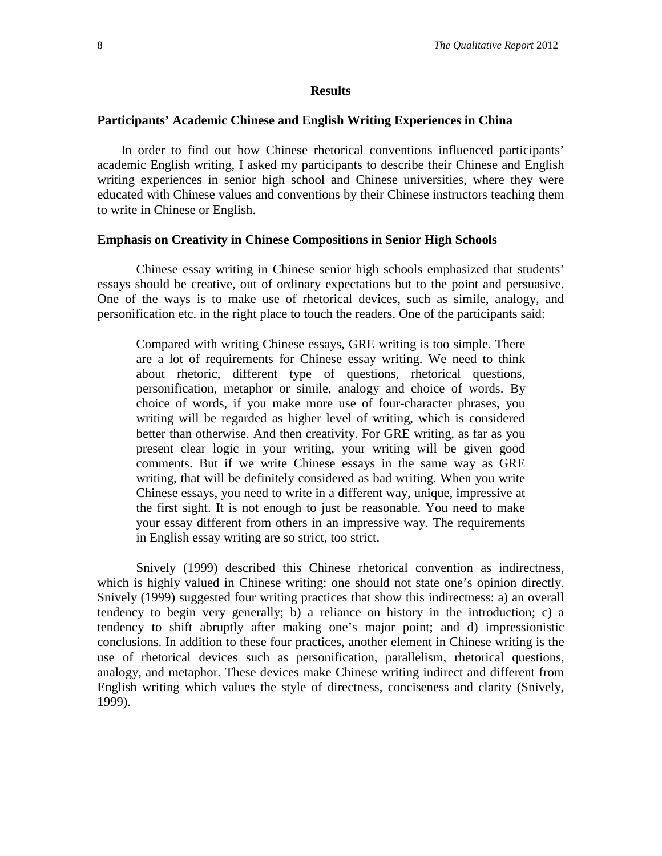#### **Results**

#### **Participants' Academic Chinese and English Writing Experiences in China**

 In order to find out how Chinese rhetorical conventions influenced participants' academic English writing, I asked my participants to describe their Chinese and English writing experiences in senior high school and Chinese universities, where they were educated with Chinese values and conventions by their Chinese instructors teaching them to write in Chinese or English.

#### **Emphasis on Creativity in Chinese Compositions in Senior High Schools**

Chinese essay writing in Chinese senior high schools emphasized that students' essays should be creative, out of ordinary expectations but to the point and persuasive. One of the ways is to make use of rhetorical devices, such as simile, analogy, and personification etc. in the right place to touch the readers. One of the participants said:

Compared with writing Chinese essays, GRE writing is too simple. There are a lot of requirements for Chinese essay writing. We need to think about rhetoric, different type of questions, rhetorical questions, personification, metaphor or simile, analogy and choice of words. By choice of words, if you make more use of four-character phrases, you writing will be regarded as higher level of writing, which is considered better than otherwise. And then creativity. For GRE writing, as far as you present clear logic in your writing, your writing will be given good comments. But if we write Chinese essays in the same way as GRE writing, that will be definitely considered as bad writing. When you write Chinese essays, you need to write in a different way, unique, impressive at the first sight. It is not enough to just be reasonable. You need to make your essay different from others in an impressive way. The requirements in English essay writing are so strict, too strict.

Snively (1999) described this Chinese rhetorical convention as indirectness, which is highly valued in Chinese writing: one should not state one's opinion directly. Snively (1999) suggested four writing practices that show this indirectness: a) an overall tendency to begin very generally; b) a reliance on history in the introduction; c) a tendency to shift abruptly after making one's major point; and d) impressionistic conclusions. In addition to these four practices, another element in Chinese writing is the use of rhetorical devices such as personification, parallelism, rhetorical questions, analogy, and metaphor. These devices make Chinese writing indirect and different from English writing which values the style of directness, conciseness and clarity (Snively, 1999).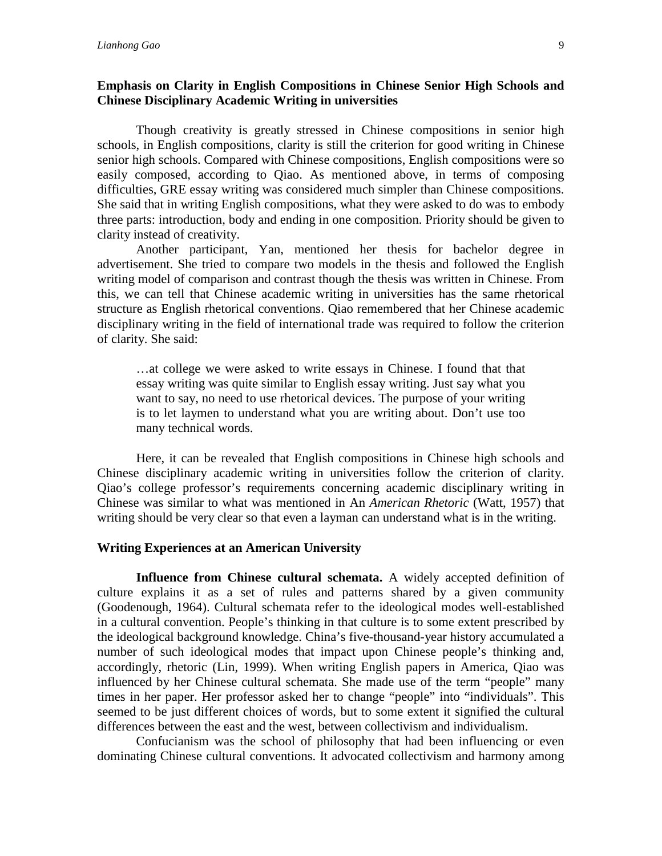#### **Emphasis on Clarity in English Compositions in Chinese Senior High Schools and Chinese Disciplinary Academic Writing in universities**

Though creativity is greatly stressed in Chinese compositions in senior high schools, in English compositions, clarity is still the criterion for good writing in Chinese senior high schools. Compared with Chinese compositions, English compositions were so easily composed, according to Qiao. As mentioned above, in terms of composing difficulties, GRE essay writing was considered much simpler than Chinese compositions. She said that in writing English compositions, what they were asked to do was to embody three parts: introduction, body and ending in one composition. Priority should be given to clarity instead of creativity.

Another participant, Yan, mentioned her thesis for bachelor degree in advertisement. She tried to compare two models in the thesis and followed the English writing model of comparison and contrast though the thesis was written in Chinese. From this, we can tell that Chinese academic writing in universities has the same rhetorical structure as English rhetorical conventions. Qiao remembered that her Chinese academic disciplinary writing in the field of international trade was required to follow the criterion of clarity. She said:

…at college we were asked to write essays in Chinese. I found that that essay writing was quite similar to English essay writing. Just say what you want to say, no need to use rhetorical devices. The purpose of your writing is to let laymen to understand what you are writing about. Don't use too many technical words.

Here, it can be revealed that English compositions in Chinese high schools and Chinese disciplinary academic writing in universities follow the criterion of clarity. Qiao's college professor's requirements concerning academic disciplinary writing in Chinese was similar to what was mentioned in An *American Rhetoric* (Watt, 1957) that writing should be very clear so that even a layman can understand what is in the writing.

#### **Writing Experiences at an American University**

**Influence from Chinese cultural schemata.** A widely accepted definition of culture explains it as a set of rules and patterns shared by a given community (Goodenough, 1964). Cultural schemata refer to the ideological modes well-established in a cultural convention. People's thinking in that culture is to some extent prescribed by the ideological background knowledge. China's five-thousand-year history accumulated a number of such ideological modes that impact upon Chinese people's thinking and, accordingly, rhetoric (Lin, 1999). When writing English papers in America, Qiao was influenced by her Chinese cultural schemata. She made use of the term "people" many times in her paper. Her professor asked her to change "people" into "individuals". This seemed to be just different choices of words, but to some extent it signified the cultural differences between the east and the west, between collectivism and individualism.

Confucianism was the school of philosophy that had been influencing or even dominating Chinese cultural conventions. It advocated collectivism and harmony among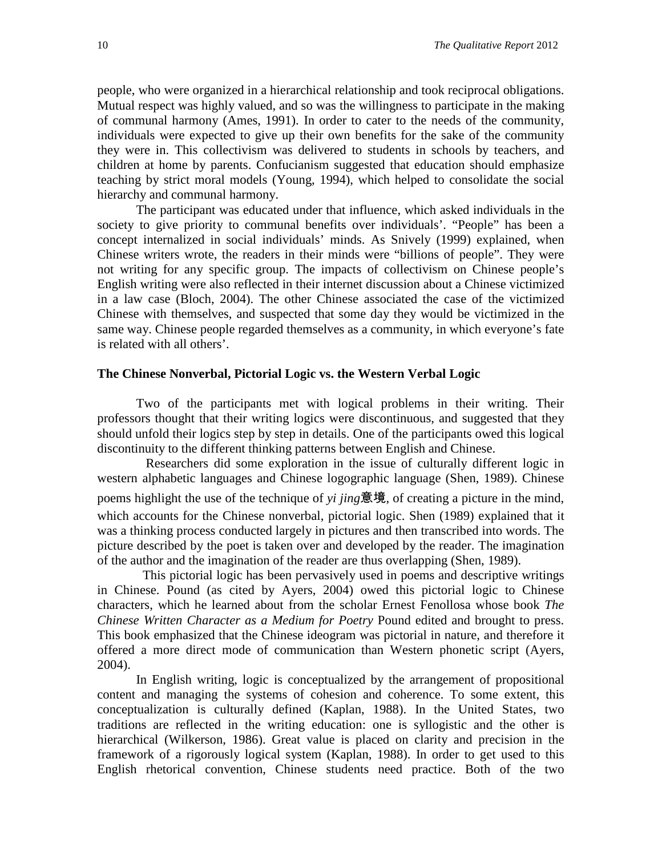people, who were organized in a hierarchical relationship and took reciprocal obligations. Mutual respect was highly valued, and so was the willingness to participate in the making of communal harmony (Ames, 1991). In order to cater to the needs of the community, individuals were expected to give up their own benefits for the sake of the community they were in. This collectivism was delivered to students in schools by teachers, and children at home by parents. Confucianism suggested that education should emphasize teaching by strict moral models (Young, 1994), which helped to consolidate the social hierarchy and communal harmony.

The participant was educated under that influence, which asked individuals in the society to give priority to communal benefits over individuals'. "People" has been a concept internalized in social individuals' minds. As Snively (1999) explained, when Chinese writers wrote, the readers in their minds were "billions of people". They were not writing for any specific group. The impacts of collectivism on Chinese people's English writing were also reflected in their internet discussion about a Chinese victimized in a law case (Bloch, 2004). The other Chinese associated the case of the victimized Chinese with themselves, and suspected that some day they would be victimized in the same way. Chinese people regarded themselves as a community, in which everyone's fate is related with all others'.

#### **The Chinese Nonverbal, Pictorial Logic vs. the Western Verbal Logic**

 Two of the participants met with logical problems in their writing. Their professors thought that their writing logics were discontinuous, and suggested that they should unfold their logics step by step in details. One of the participants owed this logical discontinuity to the different thinking patterns between English and Chinese.

 Researchers did some exploration in the issue of culturally different logic in western alphabetic languages and Chinese logographic language (Shen, 1989). Chinese poems highlight the use of the technique of *yi jing*意境, of creating a picture in the mind, which accounts for the Chinese nonverbal, pictorial logic. Shen (1989) explained that it was a thinking process conducted largely in pictures and then transcribed into words. The picture described by the poet is taken over and developed by the reader. The imagination of the author and the imagination of the reader are thus overlapping (Shen, 1989).

 This pictorial logic has been pervasively used in poems and descriptive writings in Chinese. Pound (as cited by Ayers, 2004) owed this pictorial logic to Chinese characters, which he learned about from the scholar Ernest Fenollosa whose book *The Chinese Written Character as a Medium for Poetry* Pound edited and brought to press. This book emphasized that the Chinese ideogram was pictorial in nature, and therefore it offered a more direct mode of communication than Western phonetic script (Ayers, 2004).

In English writing, logic is conceptualized by the arrangement of propositional content and managing the systems of cohesion and coherence. To some extent, this conceptualization is culturally defined (Kaplan, 1988). In the United States, two traditions are reflected in the writing education: one is syllogistic and the other is hierarchical (Wilkerson, 1986). Great value is placed on clarity and precision in the framework of a rigorously logical system (Kaplan, 1988). In order to get used to this English rhetorical convention, Chinese students need practice. Both of the two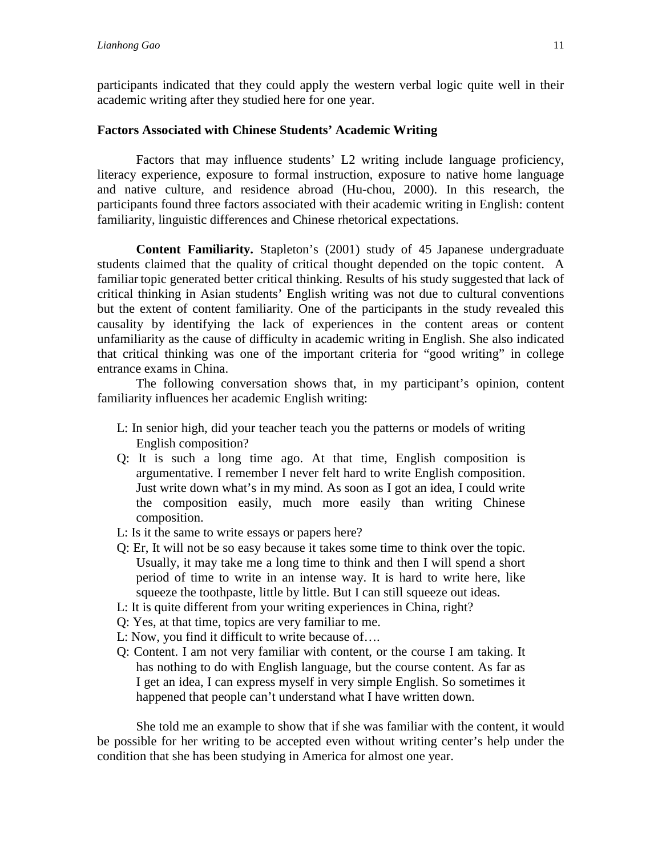participants indicated that they could apply the western verbal logic quite well in their academic writing after they studied here for one year.

#### **Factors Associated with Chinese Students' Academic Writing**

Factors that may influence students' L2 writing include language proficiency, literacy experience, exposure to formal instruction, exposure to native home language and native culture, and residence abroad (Hu-chou, 2000). In this research, the participants found three factors associated with their academic writing in English: content familiarity, linguistic differences and Chinese rhetorical expectations.

 **Content Familiarity.** Stapleton's (2001) study of 45 Japanese undergraduate students claimed that the quality of critical thought depended on the topic content. A familiar topic generated better critical thinking. Results of his study suggested that lack of critical thinking in Asian students' English writing was not due to cultural conventions but the extent of content familiarity. One of the participants in the study revealed this causality by identifying the lack of experiences in the content areas or content unfamiliarity as the cause of difficulty in academic writing in English. She also indicated that critical thinking was one of the important criteria for "good writing" in college entrance exams in China.

The following conversation shows that, in my participant's opinion, content familiarity influences her academic English writing:

- L: In senior high, did your teacher teach you the patterns or models of writing English composition?
- Q: It is such a long time ago. At that time, English composition is argumentative. I remember I never felt hard to write English composition. Just write down what's in my mind. As soon as I got an idea, I could write the composition easily, much more easily than writing Chinese composition.
- L: Is it the same to write essays or papers here?
- Q: Er, It will not be so easy because it takes some time to think over the topic. Usually, it may take me a long time to think and then I will spend a short period of time to write in an intense way. It is hard to write here, like squeeze the toothpaste, little by little. But I can still squeeze out ideas.
- L: It is quite different from your writing experiences in China, right?
- Q: Yes, at that time, topics are very familiar to me.
- L: Now, you find it difficult to write because of….
- Q: Content. I am not very familiar with content, or the course I am taking. It has nothing to do with English language, but the course content. As far as I get an idea, I can express myself in very simple English. So sometimes it happened that people can't understand what I have written down.

She told me an example to show that if she was familiar with the content, it would be possible for her writing to be accepted even without writing center's help under the condition that she has been studying in America for almost one year.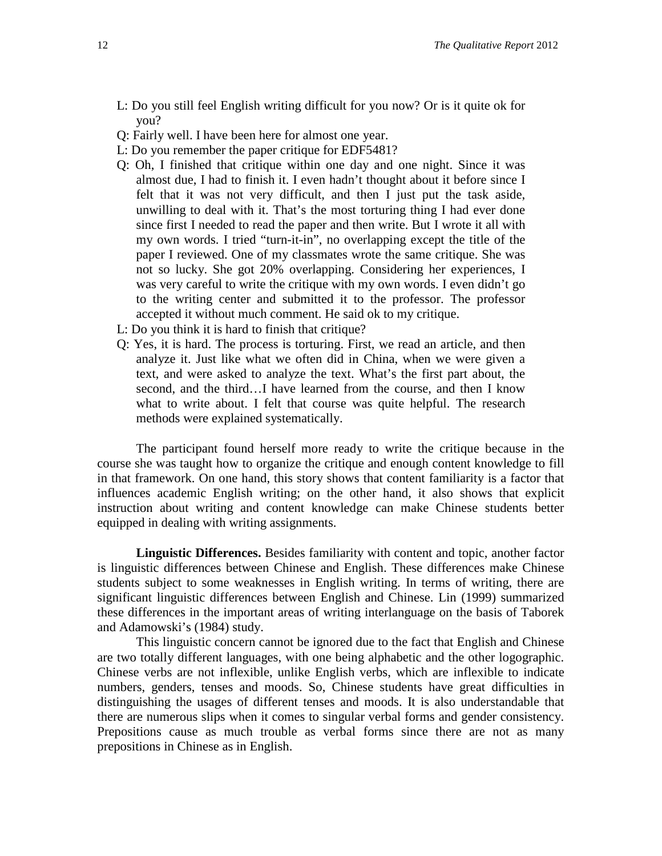- L: Do you still feel English writing difficult for you now? Or is it quite ok for you?
- Q: Fairly well. I have been here for almost one year.
- L: Do you remember the paper critique for EDF5481?
- Q: Oh, I finished that critique within one day and one night. Since it was almost due, I had to finish it. I even hadn't thought about it before since I felt that it was not very difficult, and then I just put the task aside, unwilling to deal with it. That's the most torturing thing I had ever done since first I needed to read the paper and then write. But I wrote it all with my own words. I tried "turn-it-in", no overlapping except the title of the paper I reviewed. One of my classmates wrote the same critique. She was not so lucky. She got 20% overlapping. Considering her experiences, I was very careful to write the critique with my own words. I even didn't go to the writing center and submitted it to the professor. The professor accepted it without much comment. He said ok to my critique.
- L: Do you think it is hard to finish that critique?
- Q: Yes, it is hard. The process is torturing. First, we read an article, and then analyze it. Just like what we often did in China, when we were given a text, and were asked to analyze the text. What's the first part about, the second, and the third…I have learned from the course, and then I know what to write about. I felt that course was quite helpful. The research methods were explained systematically.

The participant found herself more ready to write the critique because in the course she was taught how to organize the critique and enough content knowledge to fill in that framework. On one hand, this story shows that content familiarity is a factor that influences academic English writing; on the other hand, it also shows that explicit instruction about writing and content knowledge can make Chinese students better equipped in dealing with writing assignments.

 **Linguistic Differences.** Besides familiarity with content and topic, another factor is linguistic differences between Chinese and English. These differences make Chinese students subject to some weaknesses in English writing. In terms of writing, there are significant linguistic differences between English and Chinese. Lin (1999) summarized these differences in the important areas of writing interlanguage on the basis of Taborek and Adamowski's (1984) study.

This linguistic concern cannot be ignored due to the fact that English and Chinese are two totally different languages, with one being alphabetic and the other logographic. Chinese verbs are not inflexible, unlike English verbs, which are inflexible to indicate numbers, genders, tenses and moods. So, Chinese students have great difficulties in distinguishing the usages of different tenses and moods. It is also understandable that there are numerous slips when it comes to singular verbal forms and gender consistency. Prepositions cause as much trouble as verbal forms since there are not as many prepositions in Chinese as in English.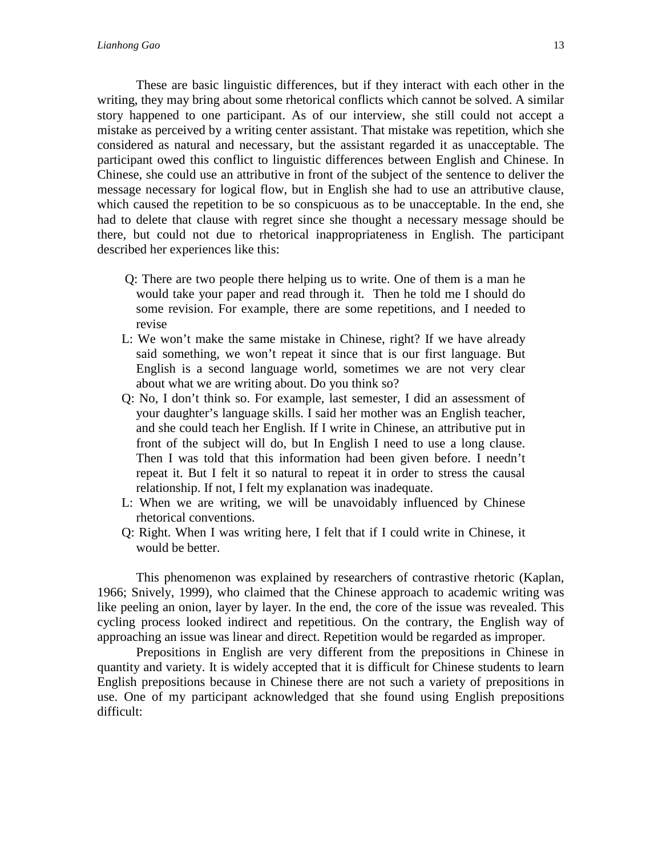These are basic linguistic differences, but if they interact with each other in the writing, they may bring about some rhetorical conflicts which cannot be solved. A similar story happened to one participant. As of our interview, she still could not accept a mistake as perceived by a writing center assistant. That mistake was repetition, which she considered as natural and necessary, but the assistant regarded it as unacceptable. The participant owed this conflict to linguistic differences between English and Chinese. In Chinese, she could use an attributive in front of the subject of the sentence to deliver the message necessary for logical flow, but in English she had to use an attributive clause, which caused the repetition to be so conspicuous as to be unacceptable. In the end, she had to delete that clause with regret since she thought a necessary message should be there, but could not due to rhetorical inappropriateness in English. The participant described her experiences like this:

- Q: There are two people there helping us to write. One of them is a man he would take your paper and read through it. Then he told me I should do some revision. For example, there are some repetitions, and I needed to revise
- L: We won't make the same mistake in Chinese, right? If we have already said something, we won't repeat it since that is our first language. But English is a second language world, sometimes we are not very clear about what we are writing about. Do you think so?
- Q: No, I don't think so. For example, last semester, I did an assessment of your daughter's language skills. I said her mother was an English teacher, and she could teach her English. If I write in Chinese, an attributive put in front of the subject will do, but In English I need to use a long clause. Then I was told that this information had been given before. I needn't repeat it. But I felt it so natural to repeat it in order to stress the causal relationship. If not, I felt my explanation was inadequate.
- L: When we are writing, we will be unavoidably influenced by Chinese rhetorical conventions.
- Q: Right. When I was writing here, I felt that if I could write in Chinese, it would be better.

This phenomenon was explained by researchers of contrastive rhetoric (Kaplan, 1966; Snively, 1999), who claimed that the Chinese approach to academic writing was like peeling an onion, layer by layer. In the end, the core of the issue was revealed. This cycling process looked indirect and repetitious. On the contrary, the English way of approaching an issue was linear and direct. Repetition would be regarded as improper.

Prepositions in English are very different from the prepositions in Chinese in quantity and variety. It is widely accepted that it is difficult for Chinese students to learn English prepositions because in Chinese there are not such a variety of prepositions in use. One of my participant acknowledged that she found using English prepositions difficult: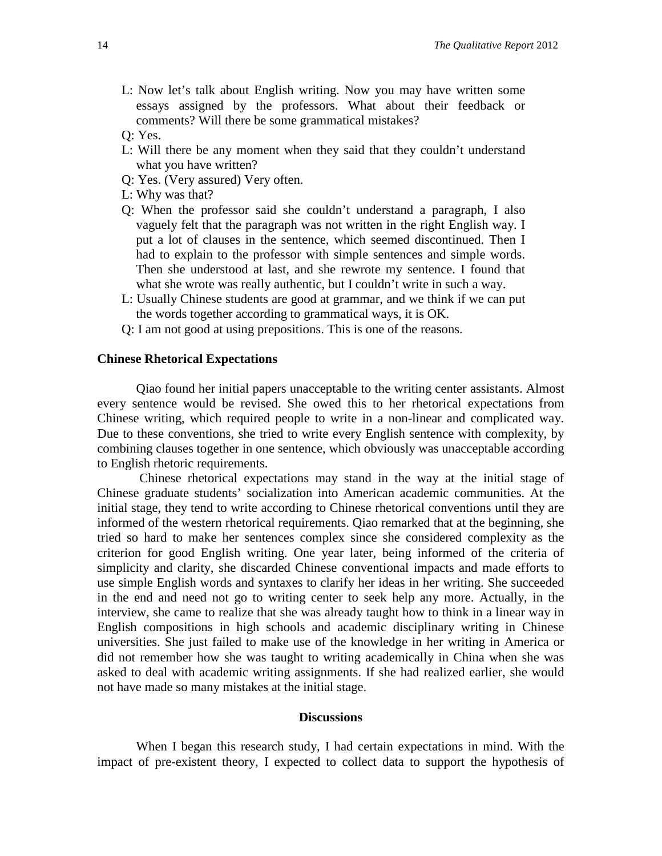- L: Now let's talk about English writing. Now you may have written some essays assigned by the professors. What about their feedback or comments? Will there be some grammatical mistakes?
- Q: Yes.
- L: Will there be any moment when they said that they couldn't understand what you have written?
- Q: Yes. (Very assured) Very often.
- L: Why was that?
- Q: When the professor said she couldn't understand a paragraph, I also vaguely felt that the paragraph was not written in the right English way. I put a lot of clauses in the sentence, which seemed discontinued. Then I had to explain to the professor with simple sentences and simple words. Then she understood at last, and she rewrote my sentence. I found that what she wrote was really authentic, but I couldn't write in such a way.
- L: Usually Chinese students are good at grammar, and we think if we can put the words together according to grammatical ways, it is OK.
- Q: I am not good at using prepositions. This is one of the reasons.

#### **Chinese Rhetorical Expectations**

Qiao found her initial papers unacceptable to the writing center assistants. Almost every sentence would be revised. She owed this to her rhetorical expectations from Chinese writing, which required people to write in a non-linear and complicated way. Due to these conventions, she tried to write every English sentence with complexity, by combining clauses together in one sentence, which obviously was unacceptable according to English rhetoric requirements.

Chinese rhetorical expectations may stand in the way at the initial stage of Chinese graduate students' socialization into American academic communities. At the initial stage, they tend to write according to Chinese rhetorical conventions until they are informed of the western rhetorical requirements. Qiao remarked that at the beginning, she tried so hard to make her sentences complex since she considered complexity as the criterion for good English writing. One year later, being informed of the criteria of simplicity and clarity, she discarded Chinese conventional impacts and made efforts to use simple English words and syntaxes to clarify her ideas in her writing. She succeeded in the end and need not go to writing center to seek help any more. Actually, in the interview, she came to realize that she was already taught how to think in a linear way in English compositions in high schools and academic disciplinary writing in Chinese universities. She just failed to make use of the knowledge in her writing in America or did not remember how she was taught to writing academically in China when she was asked to deal with academic writing assignments. If she had realized earlier, she would not have made so many mistakes at the initial stage.

#### **Discussions**

When I began this research study, I had certain expectations in mind. With the impact of pre-existent theory, I expected to collect data to support the hypothesis of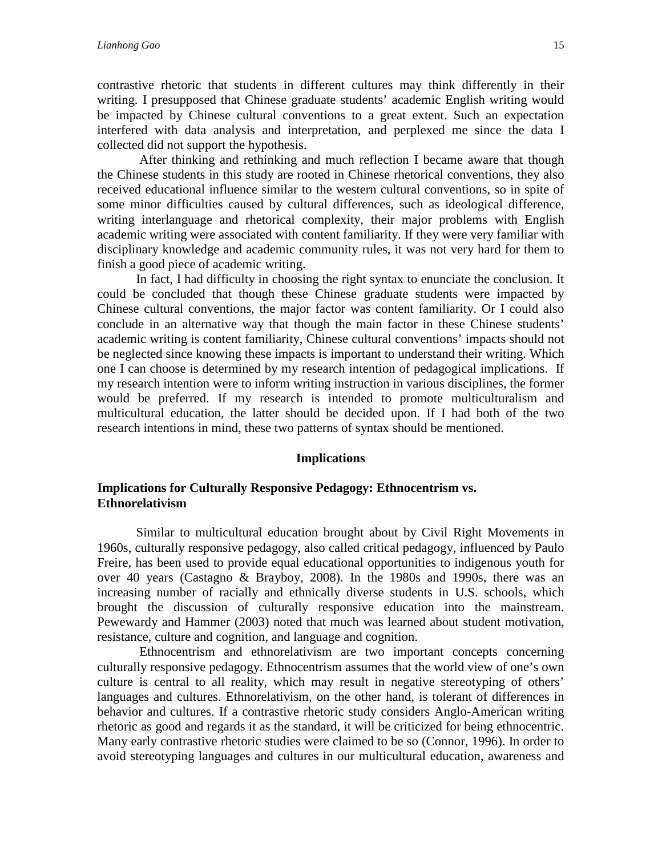contrastive rhetoric that students in different cultures may think differently in their writing. I presupposed that Chinese graduate students' academic English writing would be impacted by Chinese cultural conventions to a great extent. Such an expectation interfered with data analysis and interpretation, and perplexed me since the data I collected did not support the hypothesis.

After thinking and rethinking and much reflection I became aware that though the Chinese students in this study are rooted in Chinese rhetorical conventions, they also received educational influence similar to the western cultural conventions, so in spite of some minor difficulties caused by cultural differences, such as ideological difference, writing interlanguage and rhetorical complexity, their major problems with English academic writing were associated with content familiarity. If they were very familiar with disciplinary knowledge and academic community rules, it was not very hard for them to finish a good piece of academic writing.

In fact, I had difficulty in choosing the right syntax to enunciate the conclusion. It could be concluded that though these Chinese graduate students were impacted by Chinese cultural conventions, the major factor was content familiarity. Or I could also conclude in an alternative way that though the main factor in these Chinese students' academic writing is content familiarity, Chinese cultural conventions' impacts should not be neglected since knowing these impacts is important to understand their writing. Which one I can choose is determined by my research intention of pedagogical implications. If my research intention were to inform writing instruction in various disciplines, the former would be preferred. If my research is intended to promote multiculturalism and multicultural education, the latter should be decided upon. If I had both of the two research intentions in mind, these two patterns of syntax should be mentioned.

#### **Implications**

#### **Implications for Culturally Responsive Pedagogy: Ethnocentrism vs. Ethnorelativism**

Similar to multicultural education brought about by Civil Right Movements in 1960s, culturally responsive pedagogy, also called critical pedagogy, influenced by Paulo Freire, has been used to provide equal educational opportunities to indigenous youth for over 40 years (Castagno & Brayboy, 2008). In the 1980s and 1990s, there was an increasing number of racially and ethnically diverse students in U.S. schools, which brought the discussion of culturally responsive education into the mainstream. Pewewardy and Hammer (2003) noted that much was learned about student motivation, resistance, culture and cognition, and language and cognition.

Ethnocentrism and ethnorelativism are two important concepts concerning culturally responsive pedagogy. Ethnocentrism assumes that the world view of one's own culture is central to all reality, which may result in negative stereotyping of others' languages and cultures. Ethnorelativism, on the other hand, is tolerant of differences in behavior and cultures. If a contrastive rhetoric study considers Anglo-American writing rhetoric as good and regards it as the standard, it will be criticized for being ethnocentric. Many early contrastive rhetoric studies were claimed to be so (Connor, 1996). In order to avoid stereotyping languages and cultures in our multicultural education, awareness and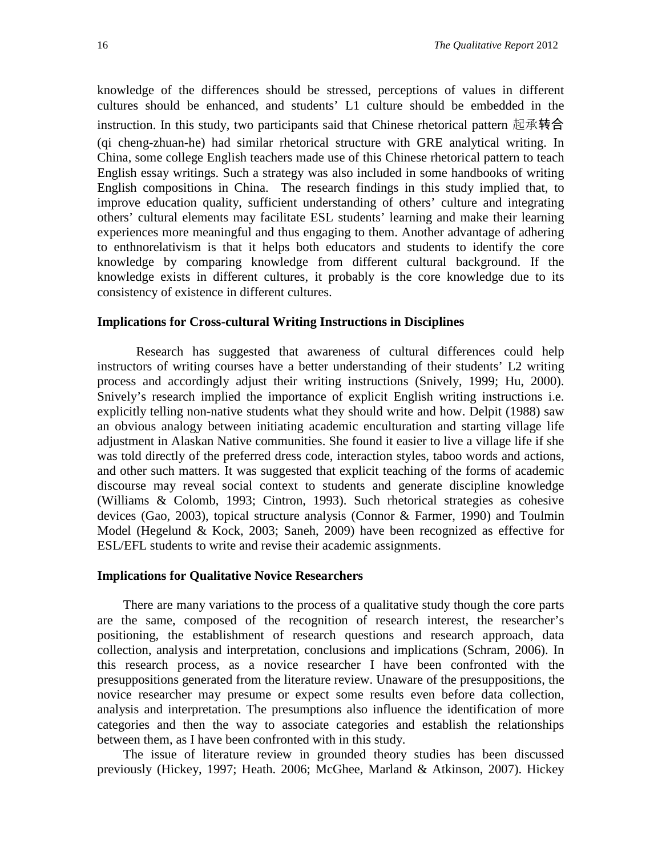knowledge of the differences should be stressed, perceptions of values in different cultures should be enhanced, and students' L1 culture should be embedded in the instruction. In this study, two participants said that Chinese rhetorical pattern 起承转合 (qi cheng-zhuan-he) had similar rhetorical structure with GRE analytical writing. In China, some college English teachers made use of this Chinese rhetorical pattern to teach English essay writings. Such a strategy was also included in some handbooks of writing English compositions in China. The research findings in this study implied that, to improve education quality, sufficient understanding of others' culture and integrating others' cultural elements may facilitate ESL students' learning and make their learning experiences more meaningful and thus engaging to them. Another advantage of adhering to enthnorelativism is that it helps both educators and students to identify the core knowledge by comparing knowledge from different cultural background. If the knowledge exists in different cultures, it probably is the core knowledge due to its consistency of existence in different cultures.

#### **Implications for Cross-cultural Writing Instructions in Disciplines**

Research has suggested that awareness of cultural differences could help instructors of writing courses have a better understanding of their students' L2 writing process and accordingly adjust their writing instructions (Snively, 1999; Hu, 2000). Snively's research implied the importance of explicit English writing instructions i.e. explicitly telling non-native students what they should write and how. Delpit (1988) saw an obvious analogy between initiating academic enculturation and starting village life adjustment in Alaskan Native communities. She found it easier to live a village life if she was told directly of the preferred dress code, interaction styles, taboo words and actions, and other such matters. It was suggested that explicit teaching of the forms of academic discourse may reveal social context to students and generate discipline knowledge (Williams & Colomb, 1993; Cintron, 1993). Such rhetorical strategies as cohesive devices (Gao, 2003), topical structure analysis (Connor & Farmer, 1990) and Toulmin Model (Hegelund & Kock, 2003; Saneh, 2009) have been recognized as effective for ESL/EFL students to write and revise their academic assignments.

#### **Implications for Qualitative Novice Researchers**

 There are many variations to the process of a qualitative study though the core parts are the same, composed of the recognition of research interest, the researcher's positioning, the establishment of research questions and research approach, data collection, analysis and interpretation, conclusions and implications (Schram, 2006). In this research process, as a novice researcher I have been confronted with the presuppositions generated from the literature review. Unaware of the presuppositions, the novice researcher may presume or expect some results even before data collection, analysis and interpretation. The presumptions also influence the identification of more categories and then the way to associate categories and establish the relationships between them, as I have been confronted with in this study.

 The issue of literature review in grounded theory studies has been discussed previously (Hickey, 1997; Heath. 2006; McGhee, Marland & Atkinson, 2007). Hickey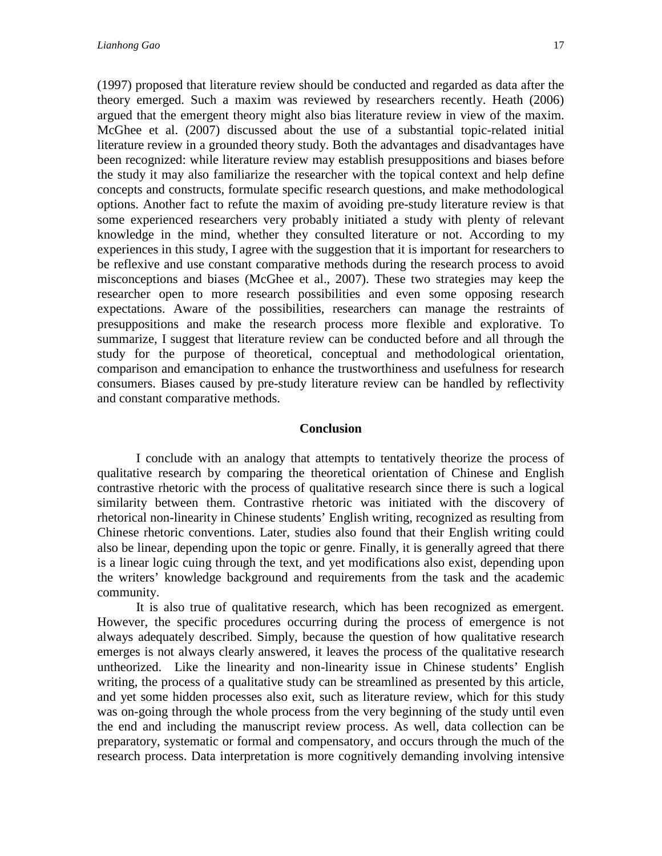(1997) proposed that literature review should be conducted and regarded as data after the theory emerged. Such a maxim was reviewed by researchers recently. Heath (2006) argued that the emergent theory might also bias literature review in view of the maxim. McGhee et al. (2007) discussed about the use of a substantial topic-related initial literature review in a grounded theory study. Both the advantages and disadvantages have been recognized: while literature review may establish presuppositions and biases before the study it may also familiarize the researcher with the topical context and help define concepts and constructs, formulate specific research questions, and make methodological options. Another fact to refute the maxim of avoiding pre-study literature review is that some experienced researchers very probably initiated a study with plenty of relevant knowledge in the mind, whether they consulted literature or not. According to my experiences in this study, I agree with the suggestion that it is important for researchers to be reflexive and use constant comparative methods during the research process to avoid misconceptions and biases (McGhee et al., 2007). These two strategies may keep the researcher open to more research possibilities and even some opposing research expectations. Aware of the possibilities, researchers can manage the restraints of presuppositions and make the research process more flexible and explorative. To summarize, I suggest that literature review can be conducted before and all through the study for the purpose of theoretical, conceptual and methodological orientation, comparison and emancipation to enhance the trustworthiness and usefulness for research consumers. Biases caused by pre-study literature review can be handled by reflectivity and constant comparative methods.

#### **Conclusion**

 I conclude with an analogy that attempts to tentatively theorize the process of qualitative research by comparing the theoretical orientation of Chinese and English contrastive rhetoric with the process of qualitative research since there is such a logical similarity between them. Contrastive rhetoric was initiated with the discovery of rhetorical non-linearity in Chinese students' English writing, recognized as resulting from Chinese rhetoric conventions. Later, studies also found that their English writing could also be linear, depending upon the topic or genre. Finally, it is generally agreed that there is a linear logic cuing through the text, and yet modifications also exist, depending upon the writers' knowledge background and requirements from the task and the academic community.

It is also true of qualitative research, which has been recognized as emergent. However, the specific procedures occurring during the process of emergence is not always adequately described. Simply, because the question of how qualitative research emerges is not always clearly answered, it leaves the process of the qualitative research untheorized. Like the linearity and non-linearity issue in Chinese students' English writing, the process of a qualitative study can be streamlined as presented by this article, and yet some hidden processes also exit, such as literature review, which for this study was on-going through the whole process from the very beginning of the study until even the end and including the manuscript review process. As well, data collection can be preparatory, systematic or formal and compensatory, and occurs through the much of the research process. Data interpretation is more cognitively demanding involving intensive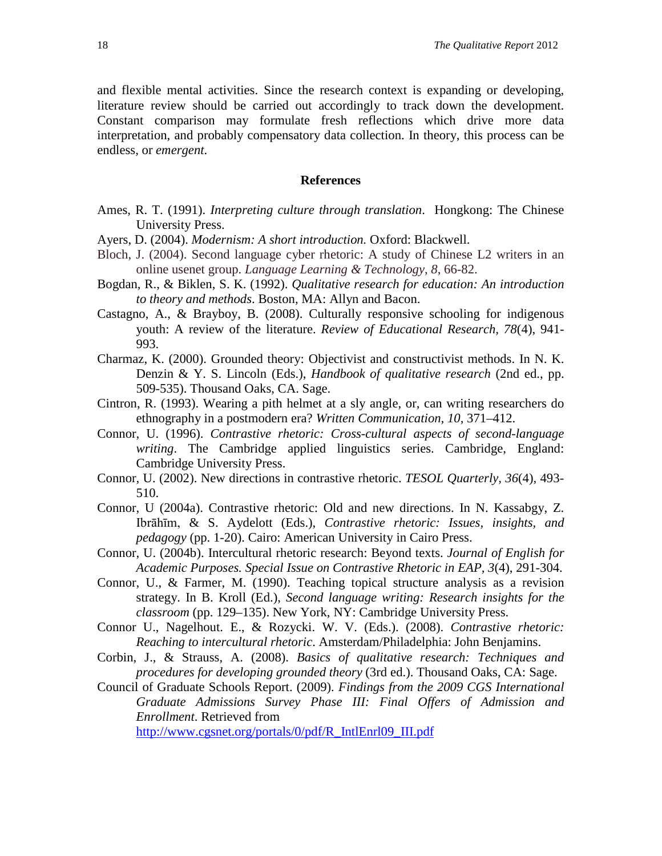and flexible mental activities. Since the research context is expanding or developing, literature review should be carried out accordingly to track down the development. Constant comparison may formulate fresh reflections which drive more data interpretation, and probably compensatory data collection. In theory, this process can be endless, or *emergent*.

#### **References**

- Ames, R. T. (1991). *Interpreting culture through translation*. Hongkong: The Chinese University Press.
- Ayers, D. (2004). *Modernism: A short introduction.* Oxford: Blackwell.
- Bloch, J. (2004). Second language cyber rhetoric: A study of Chinese L2 writers in an online usenet group. *Language Learning & Technology*, *8*, 66-82.
- Bogdan, R., & Biklen, S. K. (1992). *Qualitative research for education: An introduction to theory and methods*. Boston, MA: Allyn and Bacon.
- Castagno, A., & Brayboy, B. (2008). Culturally responsive schooling for indigenous youth: A review of the literature. *Review of Educational Research, 78*(4), 941- 993.
- Charmaz, K. (2000). Grounded theory: Objectivist and constructivist methods. In N. K. Denzin & Y. S. Lincoln (Eds.), *Handbook of qualitative research* (2nd ed., pp. 509-535). Thousand Oaks, CA. Sage.
- Cintron, R. (1993). Wearing a pith helmet at a sly angle, or, can writing researchers do ethnography in a postmodern era? *Written Communication, 10,* 371–412.
- Connor, U. (1996). *Contrastive rhetoric: Cross-cultural aspects of second-language writing*. The Cambridge applied linguistics series. Cambridge, England: Cambridge University Press.
- Connor, U. (2002). New directions in contrastive rhetoric. *TESOL Quarterly, 36*(4), 493- 510.
- Connor, U (2004a). Contrastive rhetoric: Old and new directions. In N. Kassabgy, Z. Ibrāhīm, & S. Aydelott (Eds.), *Contrastive rhetoric: Issues, insights, and pedagogy* (pp. 1-20). Cairo: American University in Cairo Press.
- Connor, U. (2004b). Intercultural rhetoric research: Beyond texts. *Journal of English for Academic Purposes. Special Issue on Contrastive Rhetoric in EAP, 3*(4), 291-304.
- Connor, U., & Farmer, M. (1990). Teaching topical structure analysis as a revision strategy. In B. Kroll (Ed.), *Second language writing: Research insights for the classroom* (pp. 129–135). New York, NY: Cambridge University Press.
- Connor U., Nagelhout. E., & Rozycki. W. V. (Eds.). (2008). *Contrastive rhetoric: Reaching to intercultural rhetoric*. Amsterdam/Philadelphia: John Benjamins.
- Corbin, J., & Strauss, A. (2008). *Basics of qualitative research: Techniques and procedures for developing grounded theory* (3rd ed.). Thousand Oaks, CA: Sage.
- Council of Graduate Schools Report. (2009). *Findings from the 2009 CGS International Graduate Admissions Survey Phase III: Final Offers of Admission and Enrollment*. Retrieved from

[http://www.cgsnet.org/portals/0/pdf/R\\_IntlEnrl09\\_III.pdf](http://www.cgsnet.org/portals/0/pdf/R_IntlEnrl09_III.pdf)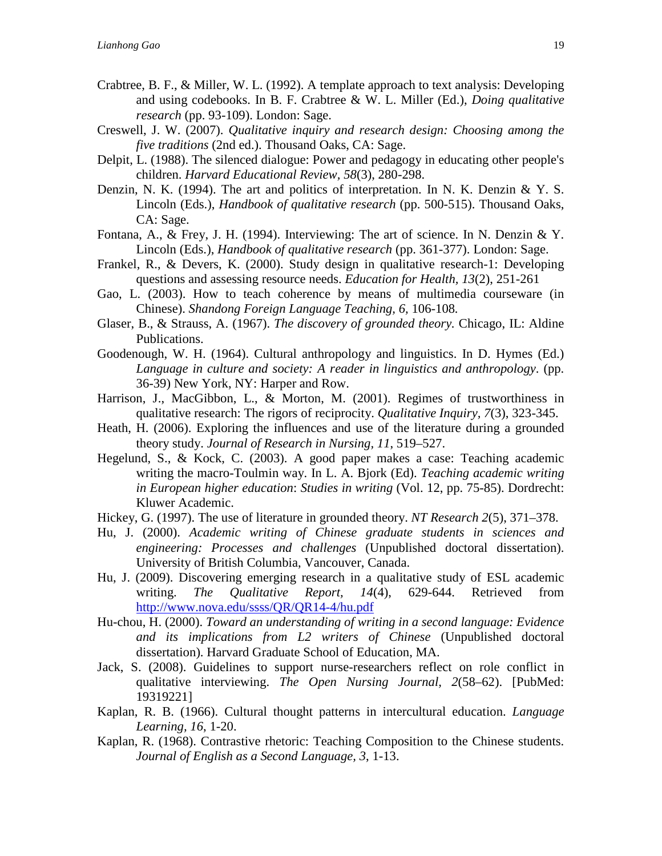- Crabtree, B. F., & Miller, W. L. (1992). A template approach to text analysis: Developing and using codebooks. In B. F. Crabtree & W. L. Miller (Ed.), *Doing qualitative research* (pp. 93-109). London: Sage.
- Creswell, J. W. (2007). *Qualitative inquiry and research design: Choosing among the five traditions* (2nd ed.). Thousand Oaks, CA: Sage.
- Delpit, L. (1988). The silenced dialogue: Power and pedagogy in educating other people's children. *Harvard Educational Review, 58*(3), 280-298.
- Denzin, N. K. (1994). The art and politics of interpretation. In N. K. Denzin & Y. S. Lincoln (Eds.), *Handbook of qualitative research* (pp. 500-515). Thousand Oaks, CA: Sage.
- Fontana, A., & Frey, J. H. (1994). Interviewing: The art of science. In N. Denzin & Y. Lincoln (Eds.), *Handbook of qualitative research* (pp. 361-377). London: Sage.
- Frankel, R., & Devers, K. (2000). Study design in qualitative research-1: Developing questions and assessing resource needs. *Education for Health, 13*(2), 251-261
- Gao, L. (2003). How to teach coherence by means of multimedia courseware (in Chinese). *Shandong Foreign Language Teaching, 6,* 106-108*.*
- Glaser, B., & Strauss, A. (1967). *The discovery of grounded theory.* Chicago, IL: Aldine Publications.
- Goodenough, W. H. (1964). Cultural anthropology and linguistics. In D. Hymes (Ed.) *Language in culture and society: A reader in linguistics and anthropology*. (pp. 36-39) New York, NY: Harper and Row.
- Harrison, J., MacGibbon, L., & Morton, M. (2001). Regimes of trustworthiness in qualitative research: The rigors of reciprocity. *Qualitative Inquiry, 7*(3), 323-345.
- Heath, H. (2006). Exploring the influences and use of the literature during a grounded theory study. *Journal of Research in Nursing, 11*, 519–527.
- Hegelund, S., & Kock, C. (2003). A good paper makes a case: Teaching academic writing the macro-Toulmin way. In L. A. Bjork (Ed). *Teaching academic writing in European higher education*: *Studies in writing* (Vol. 12, pp. 75-85). Dordrecht: Kluwer Academic.
- Hickey, G. (1997). The use of literature in grounded theory. *NT Research 2*(5), 371–378.
- Hu, J. (2000). *Academic writing of Chinese graduate students in sciences and engineering: Processes and challenges* (Unpublished doctoral dissertation). University of British Columbia, Vancouver, Canada.
- Hu, J. (2009). Discovering emerging research in a qualitative study of ESL academic writing. *The Qualitative Report, 14*(4), 629-644. Retrieved from <http://www.nova.edu/ssss/QR/QR14-4/hu.pdf>
- Hu-chou, H. (2000). *Toward an understanding of writing in a second language: Evidence and its implications from L2 writers of Chinese* (Unpublished doctoral dissertation). Harvard Graduate School of Education, MA.
- Jack, S. (2008). Guidelines to support nurse-researchers reflect on role conflict in qualitative interviewing. *The Open Nursing Journal, 2*(58–62). [PubMed: 19319221]
- Kaplan, R. B. (1966). Cultural thought patterns in intercultural education. *Language Learning, 16*, 1-20.
- Kaplan, R. (1968). Contrastive rhetoric: Teaching Composition to the Chinese students. *Journal of English as a Second Language, 3*, 1-13.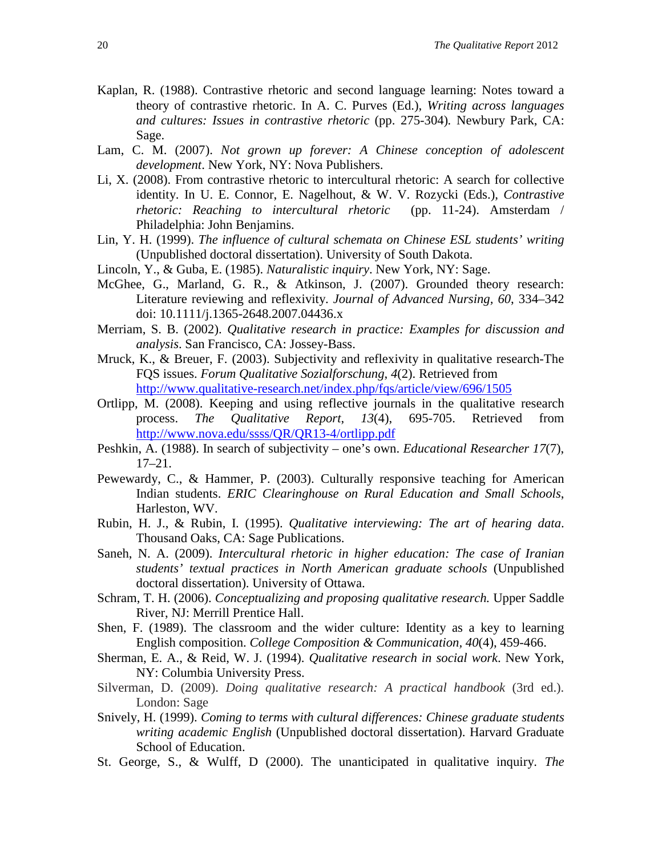- Kaplan, R. (1988). Contrastive rhetoric and second language learning: Notes toward a theory of contrastive rhetoric. In A. C. Purves (Ed.), *Writing across languages and cultures: Issues in contrastive rhetoric* (pp. 275-304)*.* Newbury Park, CA: Sage.
- Lam, C. M. (2007). *Not grown up forever: A Chinese conception of adolescent development*. New York, NY: Nova Publishers.
- Li, X. (2008). From contrastive rhetoric to intercultural rhetoric: A search for collective identity. In U. E. Connor, E. Nagelhout, & W. V. Rozycki (Eds.), *Contrastive rhetoric: Reaching to intercultural rhetoric* (pp. 11-24). Amsterdam / Philadelphia: John Benjamins.
- Lin, Y. H. (1999). *The influence of cultural schemata on Chinese ESL students' writing* (Unpublished doctoral dissertation). University of South Dakota.
- Lincoln, Y., & Guba, E. (1985). *Naturalistic inquiry*. New York, NY: Sage.
- McGhee, G., Marland, G. R., & Atkinson, J. (2007). Grounded theory research: Literature reviewing and reflexivity. *Journal of Advanced Nursing, 60*, 334–342 doi: 10.1111/j.1365-2648.2007.04436.x
- Merriam, S. B. (2002). *Qualitative research in practice: Examples for discussion and analysis*. San Francisco, CA: Jossey-Bass.
- Mruck, K., & Breuer, F. (2003). Subjectivity and reflexivity in qualitative research-The FQS issues. *Forum Qualitative Sozialforschung*, *4*(2). Retrieved from <http://www.qualitative-research.net/index.php/fqs/article/view/696/1505>
- Ortlipp, M. (2008). Keeping and using reflective journals in the qualitative research process. *The Qualitative Report*, *13*(4), 695-705. Retrieved from <http://www.nova.edu/ssss/QR/QR13-4/ortlipp.pdf>
- Peshkin, A. (1988). In search of subjectivity one's own. *Educational Researcher 17*(7), 17–21.
- Pewewardy, C., & Hammer, P. (2003). Culturally responsive teaching for American Indian students. *ERIC Clearinghouse on Rural Education and Small Schools*, Harleston, WV.
- Rubin, H. J., & Rubin, I. (1995). *Qualitative interviewing: The art of hearing data*. Thousand Oaks, CA: Sage Publications.
- Saneh, N. A. (2009). *Intercultural rhetoric in higher education: The case of Iranian students' textual practices in North American graduate schools* (Unpublished doctoral dissertation). University of Ottawa.
- Schram, T. H. (2006). *Conceptualizing and proposing qualitative research.* Upper Saddle River, NJ: Merrill Prentice Hall.
- Shen, F. (1989). The classroom and the wider culture: Identity as a key to learning English composition. *College Composition & Communication, 40*(4), 459-466.
- Sherman, E. A., & Reid, W. J. (1994). *Qualitative research in social work*. New York, NY: Columbia University Press.
- Silverman, D. (2009). *Doing qualitative research: A practical handbook* (3rd ed.). London: Sage
- Snively, H. (1999). *Coming to terms with cultural differences: Chinese graduate students writing academic English* (Unpublished doctoral dissertation). Harvard Graduate School of Education.
- St. George, S., & Wulff, D (2000). The unanticipated in qualitative inquiry. *The*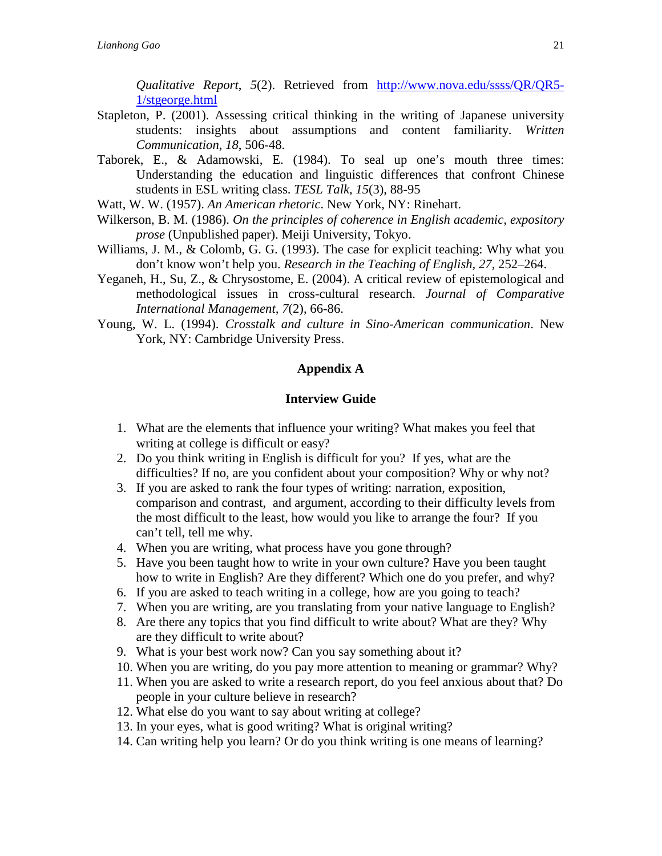*Qualitative Report*, *5*(2). Retrieved from [http://www.nova.edu/ssss/QR/QR5-](http://www.nova.edu/ssss/QR/QR5-1/stgeorge.html) [1/stgeorge.html](http://www.nova.edu/ssss/QR/QR5-1/stgeorge.html)

- Stapleton, P. (2001). Assessing critical thinking in the writing of Japanese university students: insights about assumptions and content familiarity. *Written Communication*, *18*, 506-48.
- Taborek, E., & Adamowski, E. (1984). To seal up one's mouth three times: Understanding the education and linguistic differences that confront Chinese students in ESL writing class. *TESL Talk*, *15*(3), 88-95
- Watt, W. W. (1957). *An American rhetoric*. New York, NY: Rinehart.
- Wilkerson, B. M. (1986). *On the principles of coherence in English academic, expository prose* (Unpublished paper). Meiji University, Tokyo.
- Williams, J. M., & Colomb, G. G. (1993). The case for explicit teaching: Why what you don't know won't help you. *Research in the Teaching of English, 27,* 252–264.
- Yeganeh, H., Su, Z., & Chrysostome, E. (2004). A critical review of epistemological and methodological issues in cross-cultural research. *Journal of Comparative International Management, 7*(2), 66-86.
- Young, W. L. (1994). *Crosstalk and culture in Sino-American communication*. New York, NY: Cambridge University Press.

#### **Appendix A**

#### **Interview Guide**

- 1. What are the elements that influence your writing? What makes you feel that writing at college is difficult or easy?
- 2. Do you think writing in English is difficult for you? If yes, what are the difficulties? If no, are you confident about your composition? Why or why not?
- 3. If you are asked to rank the four types of writing: narration, exposition, comparison and contrast, and argument, according to their difficulty levels from the most difficult to the least, how would you like to arrange the four? If you can't tell, tell me why.
- 4. When you are writing, what process have you gone through?
- 5. Have you been taught how to write in your own culture? Have you been taught how to write in English? Are they different? Which one do you prefer, and why?
- 6. If you are asked to teach writing in a college, how are you going to teach?
- 7. When you are writing, are you translating from your native language to English?
- 8. Are there any topics that you find difficult to write about? What are they? Why are they difficult to write about?
- 9. What is your best work now? Can you say something about it?
- 10. When you are writing, do you pay more attention to meaning or grammar? Why?
- 11. When you are asked to write a research report, do you feel anxious about that? Do people in your culture believe in research?
- 12. What else do you want to say about writing at college?
- 13. In your eyes, what is good writing? What is original writing?
- 14. Can writing help you learn? Or do you think writing is one means of learning?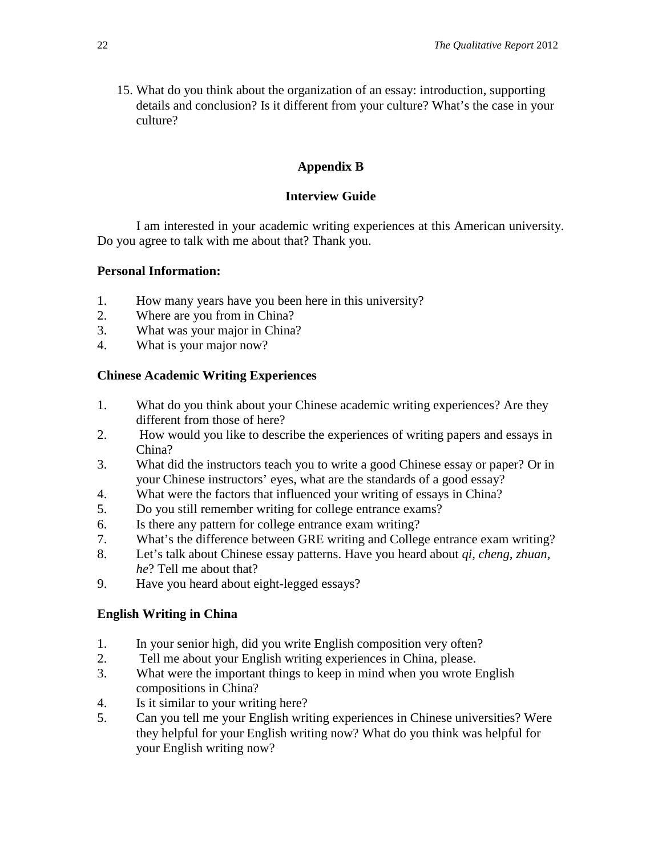15. What do you think about the organization of an essay: introduction, supporting details and conclusion? Is it different from your culture? What's the case in your culture?

# **Appendix B**

# **Interview Guide**

 I am interested in your academic writing experiences at this American university. Do you agree to talk with me about that? Thank you.

# **Personal Information:**

- 1. How many years have you been here in this university?
- 2. Where are you from in China?
- 3. What was your major in China?
- 4. What is your major now?

# **Chinese Academic Writing Experiences**

- 1. What do you think about your Chinese academic writing experiences? Are they different from those of here?
- 2. How would you like to describe the experiences of writing papers and essays in China?
- 3. What did the instructors teach you to write a good Chinese essay or paper? Or in your Chinese instructors' eyes, what are the standards of a good essay?
- 4. What were the factors that influenced your writing of essays in China?
- 5. Do you still remember writing for college entrance exams?
- 6. Is there any pattern for college entrance exam writing?
- 7. What's the difference between GRE writing and College entrance exam writing?
- 8. Let's talk about Chinese essay patterns. Have you heard about *qi, cheng, zhuan, he*? Tell me about that?
- 9. Have you heard about eight-legged essays?

# **English Writing in China**

- 1. In your senior high, did you write English composition very often?
- 2. Tell me about your English writing experiences in China, please.
- 3. What were the important things to keep in mind when you wrote English compositions in China?
- 4. Is it similar to your writing here?
- 5. Can you tell me your English writing experiences in Chinese universities? Were they helpful for your English writing now? What do you think was helpful for your English writing now?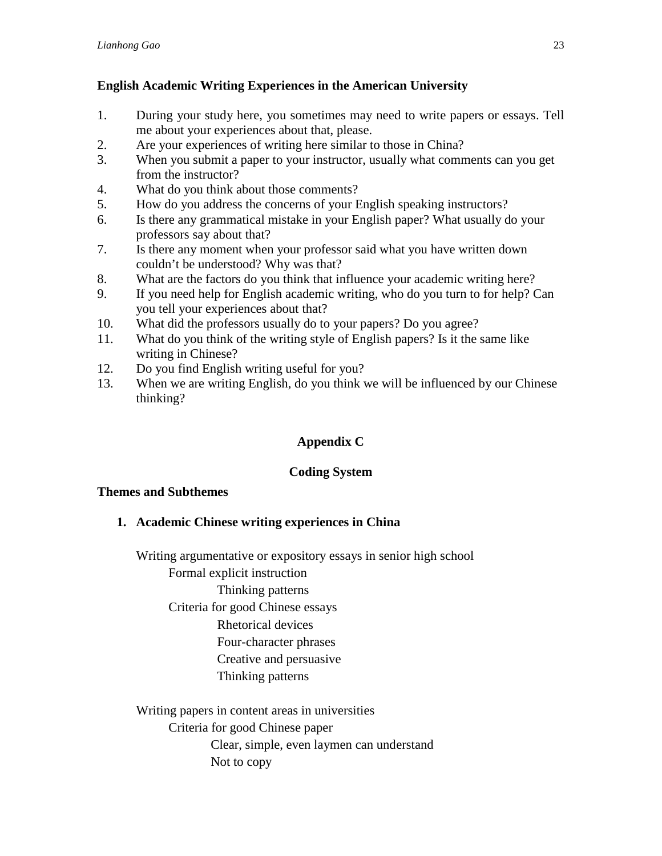# **English Academic Writing Experiences in the American University**

- 1. During your study here, you sometimes may need to write papers or essays. Tell me about your experiences about that, please.
- 2. Are your experiences of writing here similar to those in China?
- 3. When you submit a paper to your instructor, usually what comments can you get from the instructor?
- 4. What do you think about those comments?
- 5. How do you address the concerns of your English speaking instructors?
- 6. Is there any grammatical mistake in your English paper? What usually do your professors say about that?
- 7. Is there any moment when your professor said what you have written down couldn't be understood? Why was that?
- 8. What are the factors do you think that influence your academic writing here?
- 9. If you need help for English academic writing, who do you turn to for help? Can you tell your experiences about that?
- 10. What did the professors usually do to your papers? Do you agree?
- 11. What do you think of the writing style of English papers? Is it the same like writing in Chinese?
- 12. Do you find English writing useful for you?
- 13. When we are writing English, do you think we will be influenced by our Chinese thinking?

# **Appendix C**

# **Coding System**

# **Themes and Subthemes**

**1. Academic Chinese writing experiences in China** 

Writing argumentative or expository essays in senior high school

Formal explicit instruction

# Thinking patterns

Criteria for good Chinese essays

Rhetorical devices

- Four-character phrases
- Creative and persuasive
- Thinking patterns

Writing papers in content areas in universities

Criteria for good Chinese paper

Clear, simple, even laymen can understand

Not to copy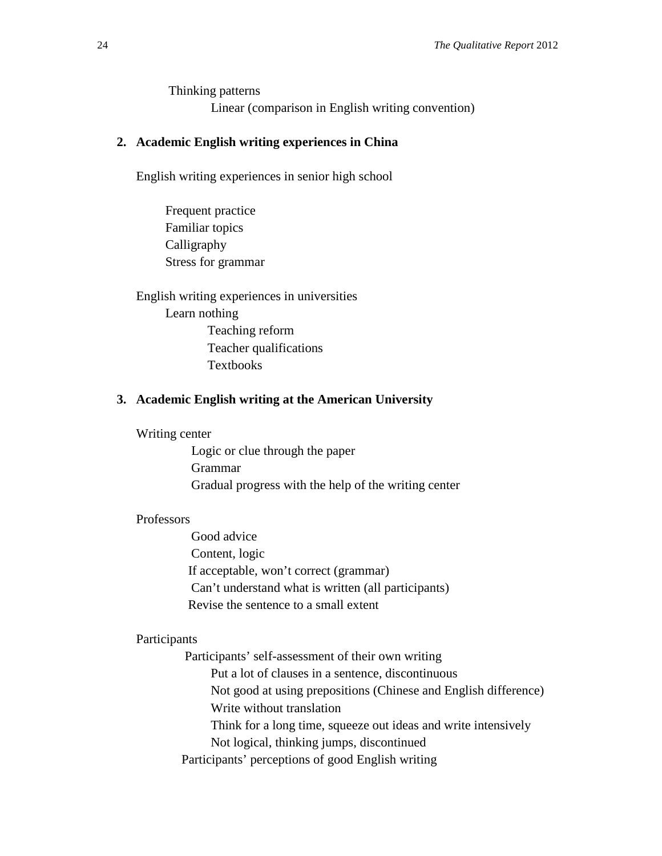Thinking patterns Linear (comparison in English writing convention)

# **2. Academic English writing experiences in China**

English writing experiences in senior high school

 Frequent practice Familiar topics Calligraphy Stress for grammar

English writing experiences in universities Learn nothing Teaching reform Teacher qualifications Textbooks

# **3. Academic English writing at the American University**

Writing center

 Logic or clue through the paper Grammar Gradual progress with the help of the writing center

#### Professors

 Good advice Content, logic If acceptable, won't correct (grammar) Can't understand what is written (all participants) Revise the sentence to a small extent

#### Participants

 Participants' self-assessment of their own writing Put a lot of clauses in a sentence, discontinuous Not good at using prepositions (Chinese and English difference) Write without translation Think for a long time, squeeze out ideas and write intensively Not logical, thinking jumps, discontinued Participants' perceptions of good English writing